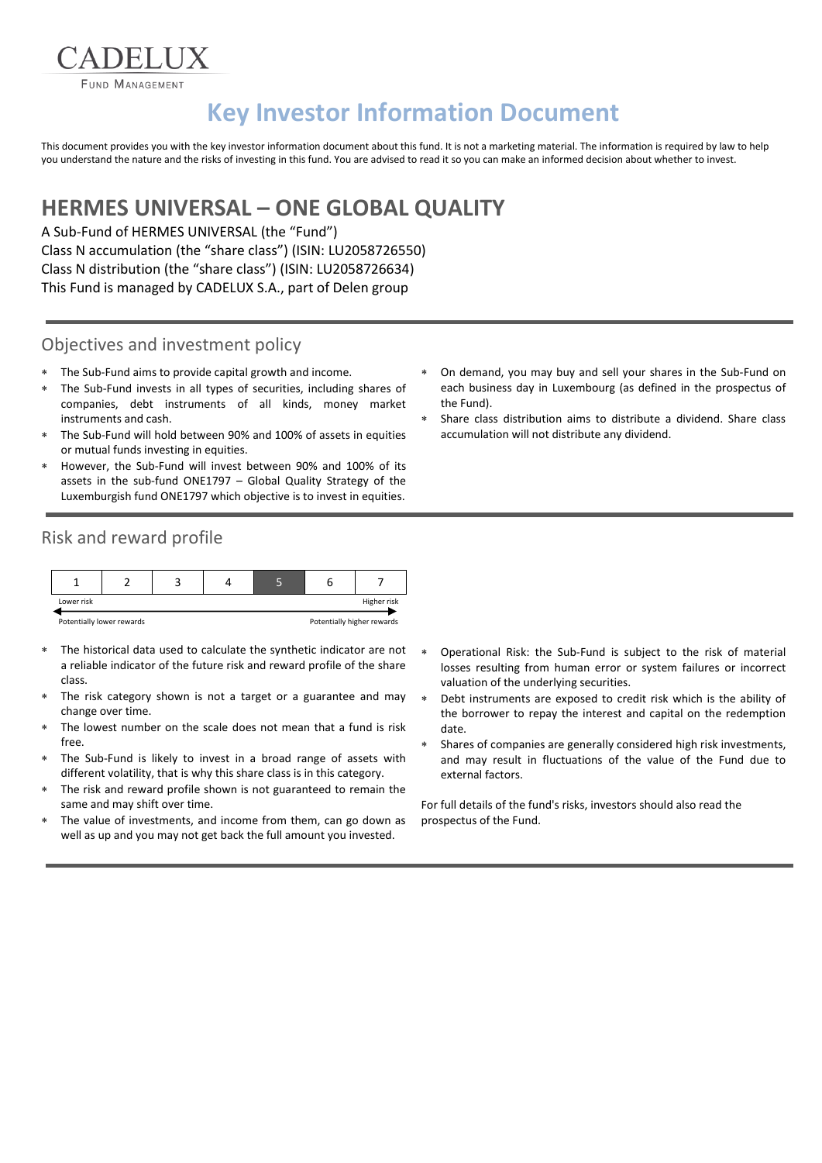**FUND MANAGEMENT** 

**ADELIIX** 

# **Key Investor Information Document**

This document provides you with the key investor information document about this fund. It is not a marketing material. The information is required by law to help you understand the nature and the risks of investing in this fund. You are advised to read it so you can make an informed decision about whether to invest.

## **HERMES UNIVERSAL – ONE GLOBAL QUALITY**

A Sub-Fund of HERMES UNIVERSAL (the "Fund") Class N accumulation (the "share class") (ISIN: LU2058726550) Class N distribution (the "share class") (ISIN: LU2058726634) This Fund is managed by CADELUX S.A., part of Delen group

#### Objectives and investment policy

- The Sub-Fund aims to provide capital growth and income.
- The Sub-Fund invests in all types of securities, including shares of companies, debt instruments of all kinds, money market instruments and cash.
- The Sub-Fund will hold between 90% and 100% of assets in equities or mutual funds investing in equities.
- However, the Sub-Fund will invest between 90% and 100% of its assets in the sub-fund ONE1797 – Global Quality Strategy of the Luxemburgish fund ONE1797 which objective is to invest in equities.
- Risk and reward profile



- The historical data used to calculate the synthetic indicator are not a reliable indicator of the future risk and reward profile of the share class.
- The risk category shown is not a target or a guarantee and may change over time.
- The lowest number on the scale does not mean that a fund is risk free.
- The Sub-Fund is likely to invest in a broad range of assets with different volatility, that is why this share class is in this category.
- The risk and reward profile shown is not guaranteed to remain the same and may shift over time.
- The value of investments, and income from them, can go down as well as up and you may not get back the full amount you invested.
- On demand, you may buy and sell your shares in the Sub-Fund on each business day in Luxembourg (as defined in the prospectus of the Fund).
- Share class distribution aims to distribute a dividend. Share class accumulation will not distribute any dividend.

- Operational Risk: the Sub-Fund is subject to the risk of material losses resulting from human error or system failures or incorrect valuation of the underlying securities.
- Debt instruments are exposed to credit risk which is the ability of the borrower to repay the interest and capital on the redemption date.
- Shares of companies are generally considered high risk investments, and may result in fluctuations of the value of the Fund due to external factors.

For full details of the fund's risks, investors should also read the prospectus of the Fund.